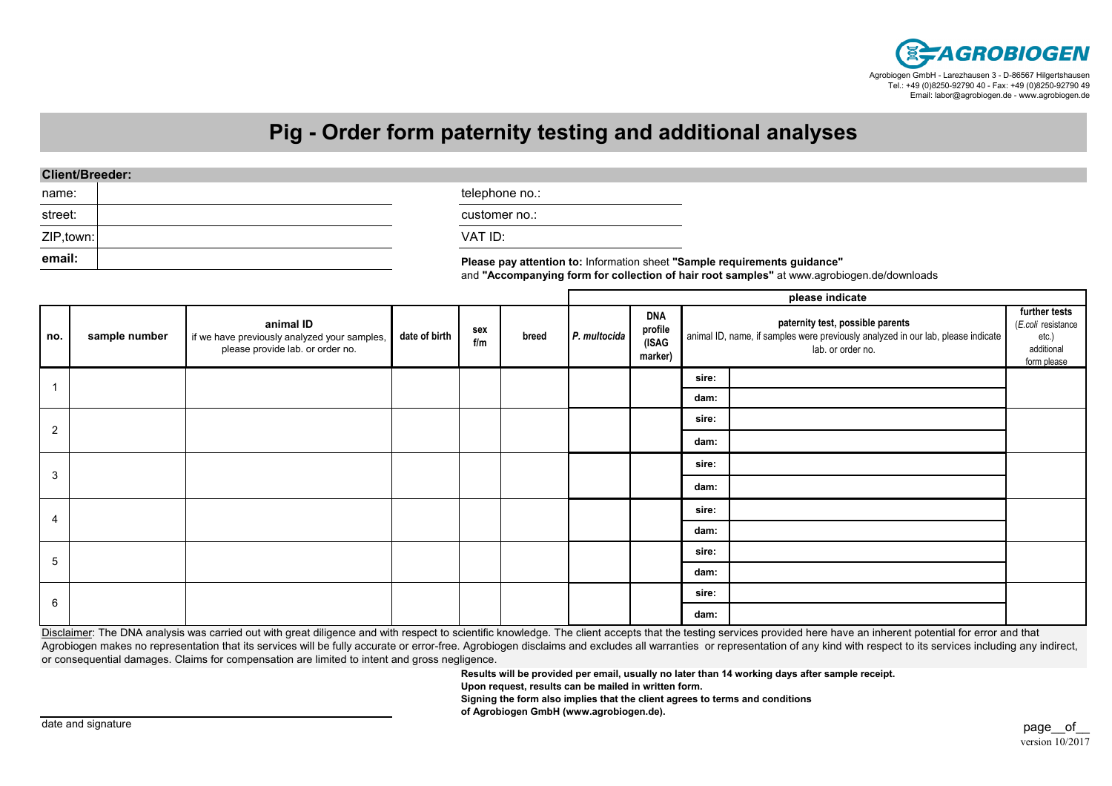

## **Pig - Order form paternity testing and additional analyses**

street:ZIP,town:

**email:**

name:  $\vert$ 

customer no.:

VAT ID:

**Please pay attention to:** Information sheet **"Sample requirements guidance"**and **"Accompanying form for collection of hair root samples"** at www.agrobiogen.de/downloads

|                |               |                                                                                               |               |            |       |              | please indicate                           |                                                                                                                                           |  |                                                                           |  |
|----------------|---------------|-----------------------------------------------------------------------------------------------|---------------|------------|-------|--------------|-------------------------------------------|-------------------------------------------------------------------------------------------------------------------------------------------|--|---------------------------------------------------------------------------|--|
| no.            | sample number | animal ID<br>if we have previously analyzed your samples,<br>please provide lab. or order no. | date of birth | sex<br>f/m | breed | P. multocida | <b>DNA</b><br>profile<br>(ISAG<br>marker) | paternity test, possible parents<br>animal ID, name, if samples were previously analyzed in our lab, please indicate<br>lab. or order no. |  | further tests<br>(E.coli resistance<br>etc.)<br>additional<br>form please |  |
|                |               |                                                                                               |               |            |       |              |                                           | sire:                                                                                                                                     |  |                                                                           |  |
|                |               |                                                                                               |               |            |       |              |                                           | dam:                                                                                                                                      |  |                                                                           |  |
| $\overline{2}$ |               |                                                                                               |               |            |       |              |                                           | sire:                                                                                                                                     |  |                                                                           |  |
|                |               |                                                                                               |               |            |       |              |                                           | dam:                                                                                                                                      |  |                                                                           |  |
| 3              |               |                                                                                               |               |            |       |              |                                           | sire:                                                                                                                                     |  |                                                                           |  |
|                |               |                                                                                               |               |            |       |              |                                           | dam:                                                                                                                                      |  |                                                                           |  |
| 4              |               |                                                                                               |               |            |       |              |                                           | sire:                                                                                                                                     |  |                                                                           |  |
|                |               |                                                                                               |               |            |       |              |                                           | dam:                                                                                                                                      |  |                                                                           |  |
| 5              |               |                                                                                               |               |            |       |              |                                           | sire:                                                                                                                                     |  |                                                                           |  |
|                |               |                                                                                               |               |            |       |              |                                           | dam:                                                                                                                                      |  |                                                                           |  |
| 6              |               |                                                                                               |               |            |       |              |                                           | sire:                                                                                                                                     |  |                                                                           |  |
|                |               |                                                                                               |               |            |       |              |                                           | dam:                                                                                                                                      |  |                                                                           |  |

Disclaimer: The DNA analysis was carried out with great diligence and with respect to scientific knowledge. The client accepts that the testing services provided here have an inherent potential for error and that Agrobiogen makes no representation that its services will be fully accurate or error-free. Agrobiogen disclaims and excludes all warranties or representation of any kind with respect to its services including any indirect, or consequential damages. Claims for compensation are limited to intent and gross negligence.

**Results will be provided per email, usually no later than 14 working days after sample receipt.**

**Upon request, results can be mailed in written form.**

**Signing the form also implies that the client agrees to terms and conditions**

**of Agrobiogen GmbH (www.agrobiogen.de).**